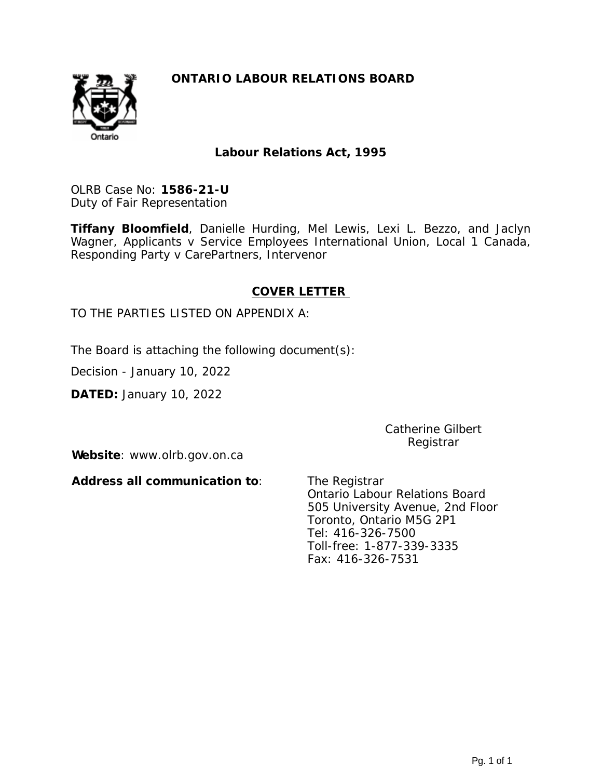

**Labour Relations Act, 1995**

OLRB Case No: **1586-21-U** Duty of Fair Representation

**Tiffany Bloomfield**, Danielle Hurding, Mel Lewis, Lexi L. Bezzo, and Jaclyn Wagner, Applicants v Service Employees International Union, Local 1 Canada, Responding Party v CarePartners, Intervenor

#### **COVER LETTER**

#### TO THE PARTIES LISTED ON APPENDIX A:

The Board is attaching the following document(s):

Decision - January 10, 2022

**DATED:** January 10, 2022

Catherine Gilbert Registrar

**Website**: www.olrb.gov.on.ca

**Address all communication to**:

The Registrar Ontario Labour Relations Board 505 University Avenue, 2nd Floor Toronto, Ontario M5G 2P1 Tel: 416-326-7500 Toll-free: 1-877-339-3335 Fax: 416-326-7531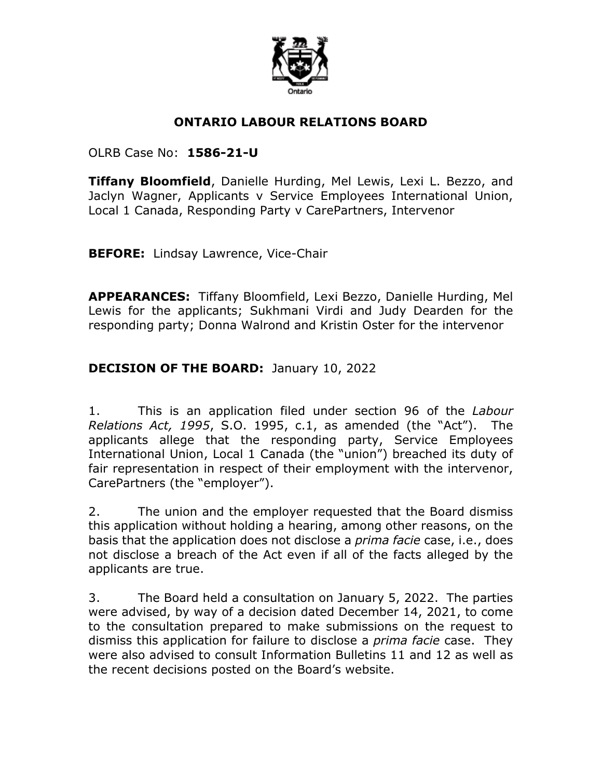

## **ONTARIO LABOUR RELATIONS BOARD**

#### OLRB Case No: **1586-21-U**

**Tiffany Bloomfield**, Danielle Hurding, Mel Lewis, Lexi L. Bezzo, and Jaclyn Wagner, Applicants v Service Employees International Union, Local 1 Canada, Responding Party v CarePartners, Intervenor

**BEFORE:** Lindsay Lawrence, Vice-Chair

**APPEARANCES:** Tiffany Bloomfield, Lexi Bezzo, Danielle Hurding, Mel Lewis for the applicants; Sukhmani Virdi and Judy Dearden for the responding party; Donna Walrond and Kristin Oster for the intervenor

## **DECISION OF THE BOARD:** January 10, 2022

1. This is an application filed under section 96 of the *Labour Relations Act, 1995*, S.O. 1995, c.1, as amended (the "Act"). The applicants allege that the responding party, Service Employees International Union, Local 1 Canada (the "union") breached its duty of fair representation in respect of their employment with the intervenor, CarePartners (the "employer").

2. The union and the employer requested that the Board dismiss this application without holding a hearing, among other reasons, on the basis that the application does not disclose a *prima facie* case, i.e., does not disclose a breach of the Act even if all of the facts alleged by the applicants are true.

3. The Board held a consultation on January 5, 2022. The parties were advised, by way of a decision dated December 14, 2021, to come to the consultation prepared to make submissions on the request to dismiss this application for failure to disclose a *prima facie* case. They were also advised to consult Information Bulletins 11 and 12 as well as the recent decisions posted on the Board's website.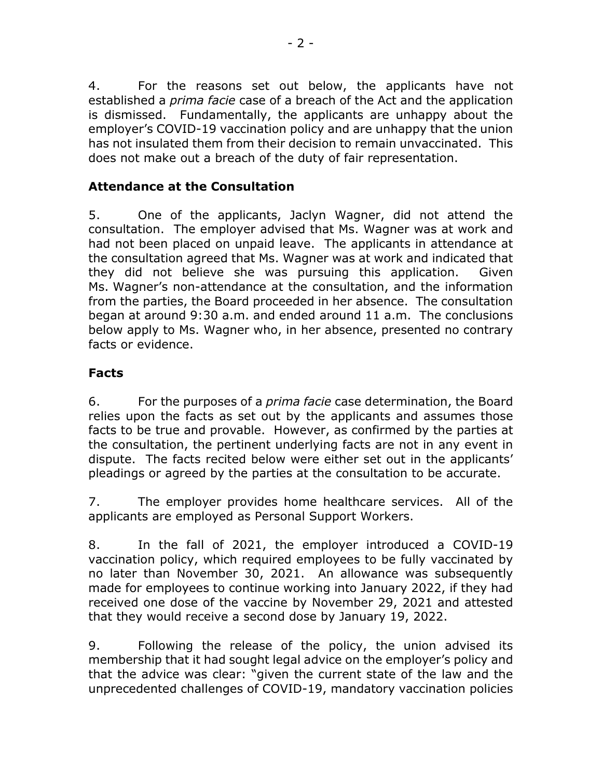4. For the reasons set out below, the applicants have not established a *prima facie* case of a breach of the Act and the application is dismissed. Fundamentally, the applicants are unhappy about the employer's COVID-19 vaccination policy and are unhappy that the union has not insulated them from their decision to remain unvaccinated. This does not make out a breach of the duty of fair representation.

# **Attendance at the Consultation**

5. One of the applicants, Jaclyn Wagner, did not attend the consultation. The employer advised that Ms. Wagner was at work and had not been placed on unpaid leave. The applicants in attendance at the consultation agreed that Ms. Wagner was at work and indicated that they did not believe she was pursuing this application. Given Ms. Wagner's non-attendance at the consultation, and the information from the parties, the Board proceeded in her absence. The consultation began at around 9:30 a.m. and ended around 11 a.m. The conclusions below apply to Ms. Wagner who, in her absence, presented no contrary facts or evidence.

## **Facts**

6. For the purposes of a *prima facie* case determination, the Board relies upon the facts as set out by the applicants and assumes those facts to be true and provable. However, as confirmed by the parties at the consultation, the pertinent underlying facts are not in any event in dispute. The facts recited below were either set out in the applicants' pleadings or agreed by the parties at the consultation to be accurate.

7. The employer provides home healthcare services. All of the applicants are employed as Personal Support Workers.

8. In the fall of 2021, the employer introduced a COVID-19 vaccination policy, which required employees to be fully vaccinated by no later than November 30, 2021. An allowance was subsequently made for employees to continue working into January 2022, if they had received one dose of the vaccine by November 29, 2021 and attested that they would receive a second dose by January 19, 2022.

9. Following the release of the policy, the union advised its membership that it had sought legal advice on the employer's policy and that the advice was clear: "given the current state of the law and the unprecedented challenges of COVID-19, mandatory vaccination policies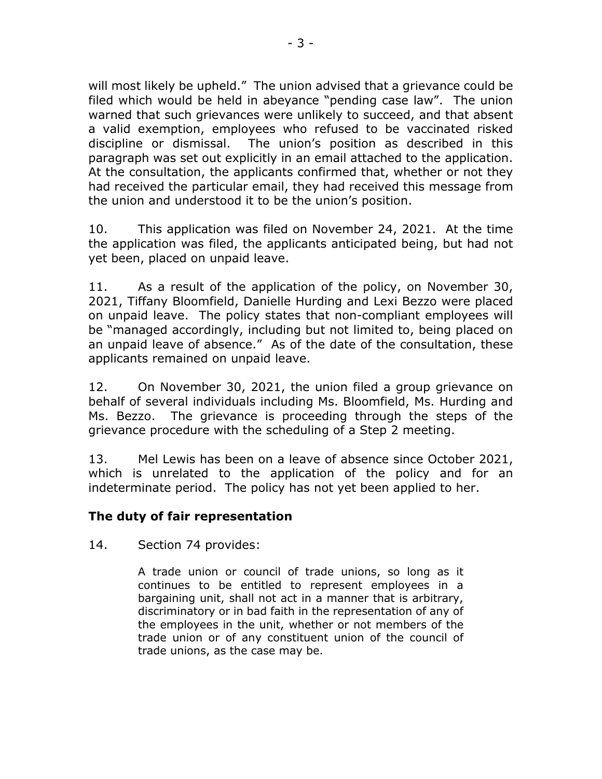will most likely be upheld." The union advised that a grievance could be filed which would be held in abeyance "pending case law". The union warned that such grievances were unlikely to succeed, and that absent a valid exemption, employees who refused to be vaccinated risked discipline or dismissal. The union's position as described in this paragraph was set out explicitly in an email attached to the application. At the consultation, the applicants confirmed that, whether or not they had received the particular email, they had received this message from the union and understood it to be the union's position.

10. This application was filed on November 24, 2021. At the time the application was filed, the applicants anticipated being, but had not yet been, placed on unpaid leave.

11. As a result of the application of the policy, on November 30, 2021, Tiffany Bloomfield, Danielle Hurding and Lexi Bezzo were placed on unpaid leave. The policy states that non-compliant employees will be "managed accordingly, including but not limited to, being placed on an unpaid leave of absence." As of the date of the consultation, these applicants remained on unpaid leave.

12. On November 30, 2021, the union filed a group grievance on behalf of several individuals including Ms. Bloomfield, Ms. Hurding and Ms. Bezzo. The grievance is proceeding through the steps of the grievance procedure with the scheduling of a Step 2 meeting.

13. Mel Lewis has been on a leave of absence since October 2021, which is unrelated to the application of the policy and for an indeterminate period. The policy has not yet been applied to her.

## **The duty of fair representation**

14. Section 74 provides:

A trade union or council of trade unions, so long as it continues to be entitled to represent employees in a bargaining unit, shall not act in a manner that is arbitrary, discriminatory or in bad faith in the representation of any of the employees in the unit, whether or not members of the trade union or of any constituent union of the council of trade unions, as the case may be.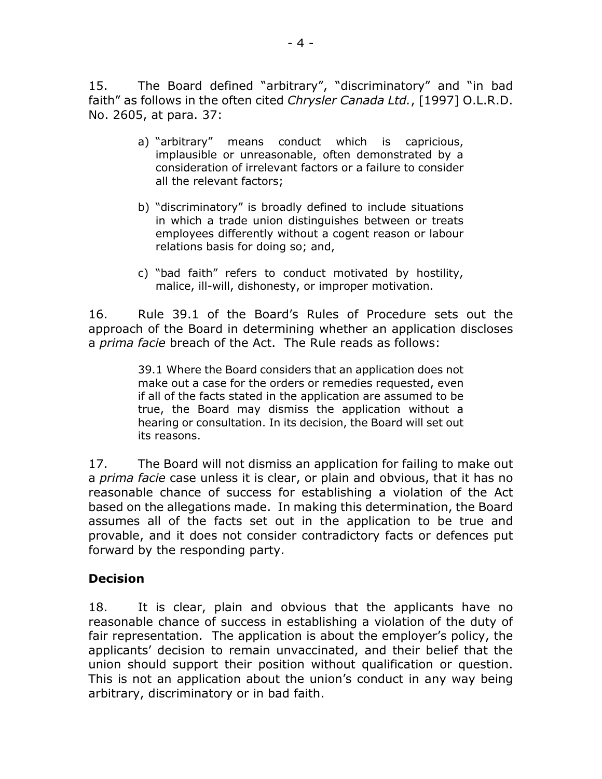15. The Board defined "arbitrary", "discriminatory" and "in bad faith" as follows in the often cited *Chrysler Canada Ltd.*, [1997] O.L.R.D. No. 2605, at para. 37:

- a) "arbitrary" means conduct which is capricious, implausible or unreasonable, often demonstrated by a consideration of irrelevant factors or a failure to consider all the relevant factors;
- b) "discriminatory" is broadly defined to include situations in which a trade union distinguishes between or treats employees differently without a cogent reason or labour relations basis for doing so; and,
- c) "bad faith" refers to conduct motivated by hostility, malice, ill-will, dishonesty, or improper motivation.

16. Rule 39.1 of the Board's Rules of Procedure sets out the approach of the Board in determining whether an application discloses a *prima facie* breach of the Act. The Rule reads as follows:

> 39.1 Where the Board considers that an application does not make out a case for the orders or remedies requested, even if all of the facts stated in the application are assumed to be true, the Board may dismiss the application without a hearing or consultation. In its decision, the Board will set out its reasons.

17. The Board will not dismiss an application for failing to make out a *prima facie* case unless it is clear, or plain and obvious, that it has no reasonable chance of success for establishing a violation of the Act based on the allegations made. In making this determination, the Board assumes all of the facts set out in the application to be true and provable, and it does not consider contradictory facts or defences put forward by the responding party.

#### **Decision**

18. It is clear, plain and obvious that the applicants have no reasonable chance of success in establishing a violation of the duty of fair representation. The application is about the employer's policy, the applicants' decision to remain unvaccinated, and their belief that the union should support their position without qualification or question. This is not an application about the union's conduct in any way being arbitrary, discriminatory or in bad faith.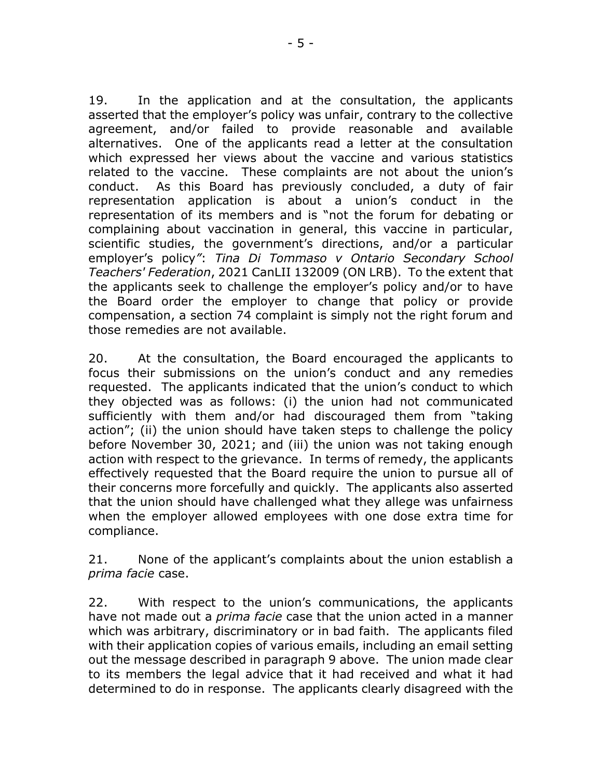19. In the application and at the consultation, the applicants asserted that the employer's policy was unfair, contrary to the collective agreement, and/or failed to provide reasonable and available alternatives. One of the applicants read a letter at the consultation which expressed her views about the vaccine and various statistics related to the vaccine. These complaints are not about the union's conduct. As this Board has previously concluded, a duty of fair representation application is about a union's conduct in the representation of its members and is "not the forum for debating or complaining about vaccination in general, this vaccine in particular, scientific studies, the government's directions, and/or a particular employer's policy*"*: *Tina Di Tommaso v Ontario Secondary School Teachers' Federation*, 2021 CanLII 132009 (ON LRB). To the extent that the applicants seek to challenge the employer's policy and/or to have the Board order the employer to change that policy or provide compensation, a section 74 complaint is simply not the right forum and those remedies are not available.

20. At the consultation, the Board encouraged the applicants to focus their submissions on the union's conduct and any remedies requested. The applicants indicated that the union's conduct to which they objected was as follows: (i) the union had not communicated sufficiently with them and/or had discouraged them from "taking action"; (ii) the union should have taken steps to challenge the policy before November 30, 2021; and (iii) the union was not taking enough action with respect to the grievance. In terms of remedy, the applicants effectively requested that the Board require the union to pursue all of their concerns more forcefully and quickly. The applicants also asserted that the union should have challenged what they allege was unfairness when the employer allowed employees with one dose extra time for compliance.

21. None of the applicant's complaints about the union establish a *prima facie* case.

22. With respect to the union's communications, the applicants have not made out a *prima facie* case that the union acted in a manner which was arbitrary, discriminatory or in bad faith. The applicants filed with their application copies of various emails, including an email setting out the message described in paragraph 9 above. The union made clear to its members the legal advice that it had received and what it had determined to do in response. The applicants clearly disagreed with the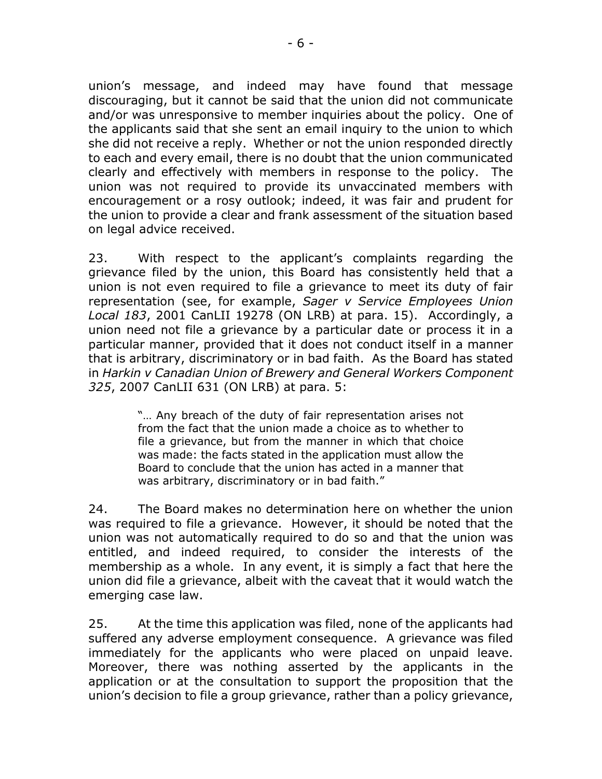union's message, and indeed may have found that message discouraging, but it cannot be said that the union did not communicate and/or was unresponsive to member inquiries about the policy. One of the applicants said that she sent an email inquiry to the union to which she did not receive a reply. Whether or not the union responded directly to each and every email, there is no doubt that the union communicated clearly and effectively with members in response to the policy. The union was not required to provide its unvaccinated members with encouragement or a rosy outlook; indeed, it was fair and prudent for the union to provide a clear and frank assessment of the situation based on legal advice received.

23. With respect to the applicant's complaints regarding the grievance filed by the union, this Board has consistently held that a union is not even required to file a grievance to meet its duty of fair representation (see, for example, *Sager v Service Employees Union Local 183*, 2001 CanLII 19278 (ON LRB) at para. 15). Accordingly, a union need not file a grievance by a particular date or process it in a particular manner, provided that it does not conduct itself in a manner that is arbitrary, discriminatory or in bad faith. As the Board has stated in *Harkin v Canadian Union of Brewery and General Workers Component 325*, 2007 CanLII 631 (ON LRB) at para. 5:

> "… Any breach of the duty of fair representation arises not from the fact that the union made a choice as to whether to file a grievance, but from the manner in which that choice was made: the facts stated in the application must allow the Board to conclude that the union has acted in a manner that was arbitrary, discriminatory or in bad faith."

24. The Board makes no determination here on whether the union was required to file a grievance. However, it should be noted that the union was not automatically required to do so and that the union was entitled, and indeed required, to consider the interests of the membership as a whole. In any event, it is simply a fact that here the union did file a grievance, albeit with the caveat that it would watch the emerging case law.

25. At the time this application was filed, none of the applicants had suffered any adverse employment consequence. A grievance was filed immediately for the applicants who were placed on unpaid leave. Moreover, there was nothing asserted by the applicants in the application or at the consultation to support the proposition that the union's decision to file a group grievance, rather than a policy grievance,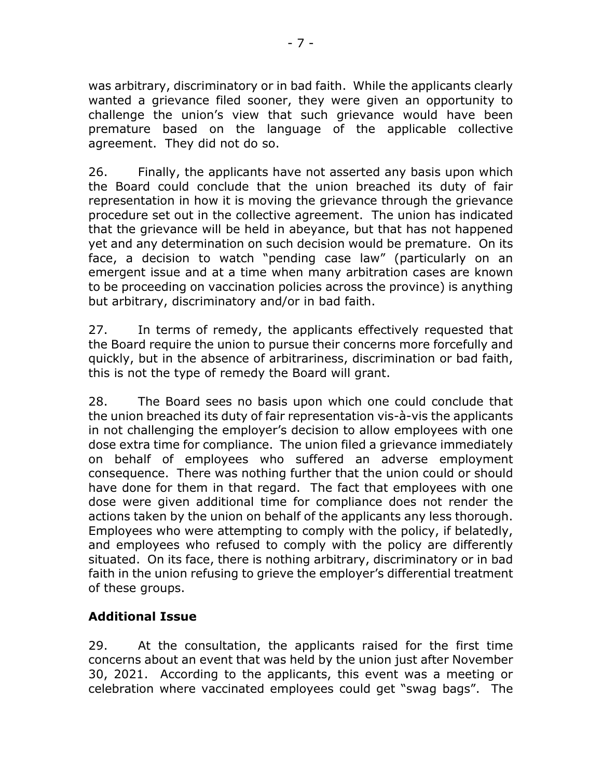was arbitrary, discriminatory or in bad faith. While the applicants clearly wanted a grievance filed sooner, they were given an opportunity to challenge the union's view that such grievance would have been premature based on the language of the applicable collective agreement. They did not do so.

26. Finally, the applicants have not asserted any basis upon which the Board could conclude that the union breached its duty of fair representation in how it is moving the grievance through the grievance procedure set out in the collective agreement. The union has indicated that the grievance will be held in abeyance, but that has not happened yet and any determination on such decision would be premature. On its face, a decision to watch "pending case law" (particularly on an emergent issue and at a time when many arbitration cases are known to be proceeding on vaccination policies across the province) is anything but arbitrary, discriminatory and/or in bad faith.

27. In terms of remedy, the applicants effectively requested that the Board require the union to pursue their concerns more forcefully and quickly, but in the absence of arbitrariness, discrimination or bad faith, this is not the type of remedy the Board will grant.

28. The Board sees no basis upon which one could conclude that the union breached its duty of fair representation vis-à-vis the applicants in not challenging the employer's decision to allow employees with one dose extra time for compliance. The union filed a grievance immediately on behalf of employees who suffered an adverse employment consequence. There was nothing further that the union could or should have done for them in that regard. The fact that employees with one dose were given additional time for compliance does not render the actions taken by the union on behalf of the applicants any less thorough. Employees who were attempting to comply with the policy, if belatedly, and employees who refused to comply with the policy are differently situated. On its face, there is nothing arbitrary, discriminatory or in bad faith in the union refusing to grieve the employer's differential treatment of these groups.

## **Additional Issue**

29. At the consultation, the applicants raised for the first time concerns about an event that was held by the union just after November 30, 2021. According to the applicants, this event was a meeting or celebration where vaccinated employees could get "swag bags". The